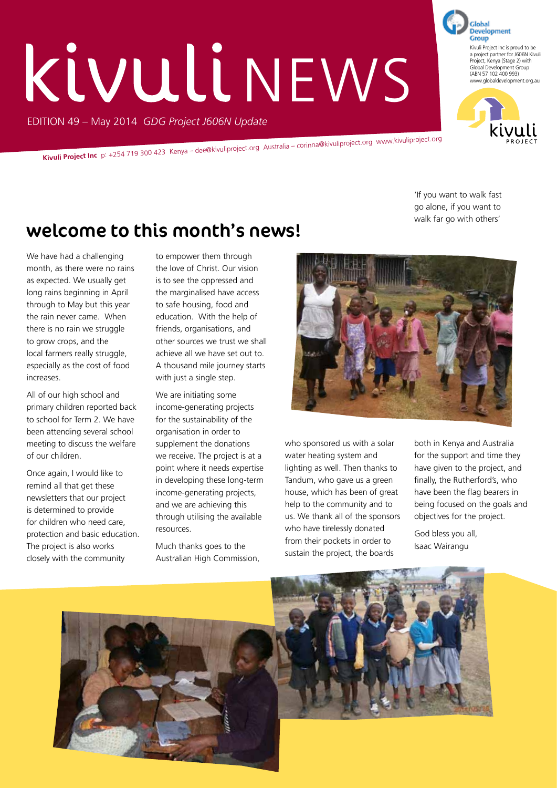# EDITION 49 – May 2014 *GDG Project J606N Update* **KÜVULLINEWS**

**Kivuli Project Inc** p: +254 719 300 423 Kenya – dee@kivuliproject.org Australia – corinna@kivuliproject.org www.kivuliproject.org

'If you want to walk fast go alone, if you want to walk far go with others'

### welcome to this month's news!

We have had a challenging month, as there were no rains as expected. We usually get long rains beginning in April through to May but this year the rain never came. When there is no rain we struggle to grow crops, and the local farmers really struggle, especially as the cost of food increases.

All of our high school and primary children reported back to school for Term 2. We have been attending several school meeting to discuss the welfare of our children.

Once again, I would like to remind all that get these newsletters that our project is determined to provide for children who need care, protection and basic education. The project is also works closely with the community

to empower them through the love of Christ. Our vision is to see the oppressed and the marginalised have access to safe housing, food and education. With the help of friends, organisations, and other sources we trust we shall achieve all we have set out to. A thousand mile journey starts with just a single step.

We are initiating some income-generating projects for the sustainability of the organisation in order to supplement the donations we receive. The project is at a point where it needs expertise in developing these long-term income-generating projects, and we are achieving this through utilising the available resources.

Much thanks goes to the Australian High Commission,



who sponsored us with a solar water heating system and lighting as well. Then thanks to Tandum, who gave us a green house, which has been of great help to the community and to us. We thank all of the sponsors who have tirelessly donated from their pockets in order to sustain the project, the boards

both in Kenya and Australia for the support and time they have given to the project, and finally, the Rutherford's, who have been the flag bearers in being focused on the goals and objectives for the project.

God bless you all, Isaac Wairangu





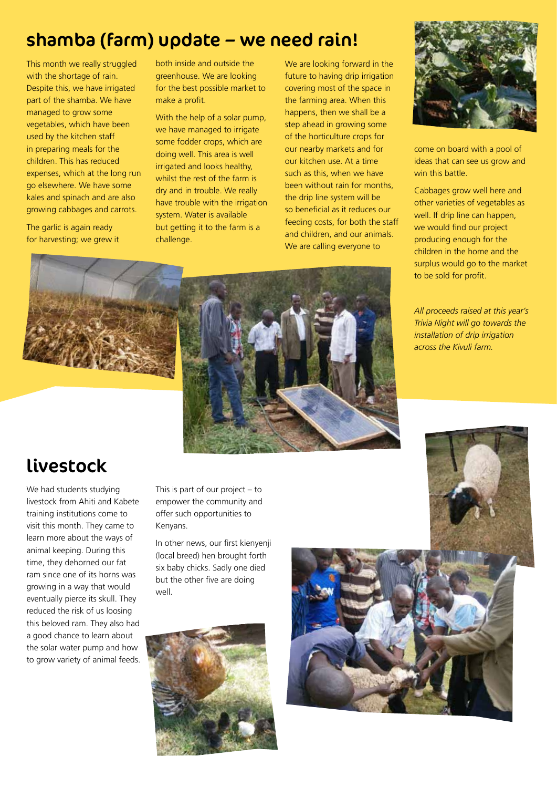#### shamba (farm) update – we need rain!

This month we really struggled with the shortage of rain. Despite this, we have irrigated part of the shamba. We have managed to grow some vegetables, which have been used by the kitchen staff in preparing meals for the children. This has reduced expenses, which at the long run go elsewhere. We have some kales and spinach and are also growing cabbages and carrots.

The garlic is again ready for harvesting; we grew it both inside and outside the greenhouse. We are looking for the best possible market to make a profit.

With the help of a solar pump, we have managed to irrigate some fodder crops, which are doing well. This area is well irrigated and looks healthy, whilst the rest of the farm is dry and in trouble. We really have trouble with the irrigation system. Water is available but getting it to the farm is a challenge.

We are looking forward in the future to having drip irrigation covering most of the space in the farming area. When this happens, then we shall be a step ahead in growing some of the horticulture crops for our nearby markets and for our kitchen use. At a time such as this, when we have been without rain for months, the drip line system will be so beneficial as it reduces our feeding costs, for both the staff and children, and our animals. We are calling everyone to



come on board with a pool of ideas that can see us grow and win this battle.

Cabbages grow well here and other varieties of vegetables as well. If drip line can happen, we would find our project producing enough for the children in the home and the surplus would go to the market to be sold for profit.

*All proceeds raised at this year's Trivia Night will go towards the installation of drip irrigation across the Kivuli farm.*



#### livestock

We had students studying livestock from Ahiti and Kabete training institutions come to visit this month. They came to learn more about the ways of animal keeping. During this time, they dehorned our fat ram since one of its horns was growing in a way that would eventually pierce its skull. They reduced the risk of us loosing this beloved ram. They also had a good chance to learn about the solar water pump and how to grow variety of animal feeds. This is part of our project – to empower the community and offer such opportunities to Kenyans.

In other news, our first kienyenji (local breed) hen brought forth six baby chicks. Sadly one died but the other five are doing well.